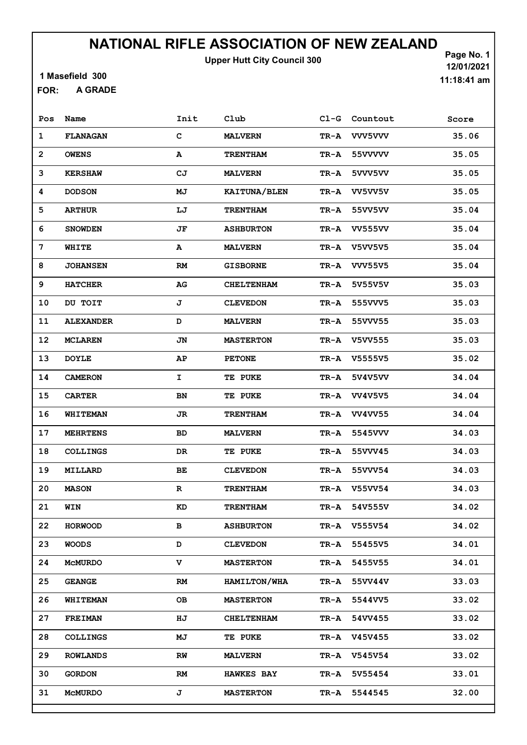Upper Hutt City Council 300

1 Masefield 300

A GRADE FOR:

Page No. 1 12/01/2021 11:18:41 am

| Pos            | Name             | Init        | Club              | $CL-G$ | Countout       | Score |
|----------------|------------------|-------------|-------------------|--------|----------------|-------|
| 1              | <b>FLANAGAN</b>  | C           | <b>MALVERN</b>    | TR-A   | <b>VVV5VVV</b> | 35.06 |
| $\overline{2}$ | <b>OWENS</b>     | A           | <b>TRENTHAM</b>   | TR-A   | 55VVVVV        | 35.05 |
| 3              | <b>KERSHAW</b>   | СJ          | <b>MALVERN</b>    | TR-A   | 5VVV5VV        | 35.05 |
| 4              | <b>DODSON</b>    | МJ          | KAITUNA/BLEN      | TR-A   | VV5VV5V        | 35.05 |
| 5              | <b>ARTHUR</b>    | LJ          | <b>TRENTHAM</b>   | TR-A   | 55VV5VV        | 35.04 |
| 6              | <b>SNOWDEN</b>   | JF          | <b>ASHBURTON</b>  | TR-A   | <b>VV555VV</b> | 35.04 |
| 7              | WHITE            | A           | <b>MALVERN</b>    | TR-A   | <b>V5VV5V5</b> | 35.04 |
| 8              | <b>JOHANSEN</b>  | RM          | <b>GISBORNE</b>   | TR-A   | <b>VVV55V5</b> | 35.04 |
| 9              | <b>HATCHER</b>   | AG          | <b>CHELTENHAM</b> | TR-A   | 5V55V5V        | 35.03 |
| 10             | DU TOIT          | J           | <b>CLEVEDON</b>   | TR-A   | 555VVV5        | 35.03 |
| 11             | <b>ALEXANDER</b> | D           | <b>MALVERN</b>    | TR-A   | 55VVV55        | 35.03 |
| 12             | <b>MCLAREN</b>   | JN          | <b>MASTERTON</b>  | TR-A   | V5VV555        | 35.03 |
| 13             | <b>DOYLE</b>     | AΡ          | <b>PETONE</b>     | TR-A   | V5555V5        | 35.02 |
| 14             | <b>CAMERON</b>   | I           | <b>TE PUKE</b>    | TR-A   | 5V4V5VV        | 34.04 |
| 15             | <b>CARTER</b>    | BN          | <b>TE PUKE</b>    | TR-A   | <b>VV4V5V5</b> | 34.04 |
| 16             | <b>WHITEMAN</b>  | JR          | <b>TRENTHAM</b>   | TR-A   | <b>VV4VV55</b> | 34.04 |
| 17             | <b>MEHRTENS</b>  | <b>BD</b>   | <b>MALVERN</b>    | TR-A   | 5545VVV        | 34.03 |
| 18             | <b>COLLINGS</b>  | DR          | <b>TE PUKE</b>    | TR-A   | 55VVV45        | 34.03 |
| 19             | <b>MILLARD</b>   | ВE          | <b>CLEVEDON</b>   | TR-A   | 55VVV54        | 34.03 |
| 20             | <b>MASON</b>     | $\mathbf R$ | <b>TRENTHAM</b>   | TR-A   | V55VV54        | 34.03 |
| 21             | WIN              | KD          | <b>TRENTHAM</b>   | TR-A   | 54V555V        | 34.02 |
| 22             | <b>HORWOOD</b>   | в           | <b>ASHBURTON</b>  | TR-A   | V555V54        | 34.02 |
| 23             | <b>WOODS</b>     | D           | <b>CLEVEDON</b>   | TR-A   | 55455V5        | 34.01 |
| 24             | <b>McMURDO</b>   | v           | <b>MASTERTON</b>  | TR-A   | 5455V55        | 34.01 |
| 25             | <b>GEANGE</b>    | RM          | HAMILTON/WHA      | TR-A   | 55VV44V        | 33.03 |
| 26             | <b>WHITEMAN</b>  | OВ          | <b>MASTERTON</b>  | TR-A   | 5544VV5        | 33.02 |
| 27             | <b>FREIMAN</b>   | HJ          | <b>CHELTENHAM</b> | TR-A   | 54VV455        | 33.02 |
| 28             | <b>COLLINGS</b>  | МJ          | <b>TE PUKE</b>    | TR-A   | V45V455        | 33.02 |
| 29             | <b>ROWLANDS</b>  | RW          | <b>MALVERN</b>    | TR-A   | V545V54        | 33.02 |
| 30             | <b>GORDON</b>    | RM          | <b>HAWKES BAY</b> | TR-A   | 5V55454        | 33.01 |
| 31             | <b>MCMURDO</b>   | J           | <b>MASTERTON</b>  | TR-A   | 5544545        | 32.00 |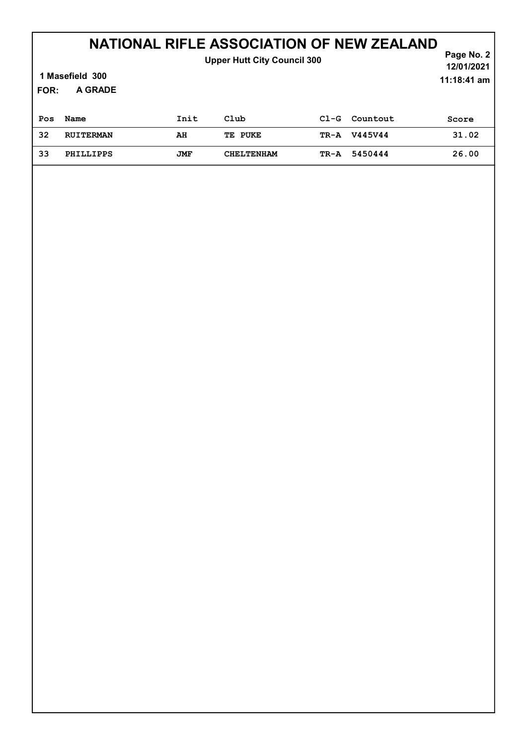| <b>Upper Hutt City Council 300</b><br>1 Masefield 300<br>A GRADE<br><b>FOR:</b> |                  |      |                   |        |          | Page No. 2<br>12/01/2021<br>$11:18:41$ am |
|---------------------------------------------------------------------------------|------------------|------|-------------------|--------|----------|-------------------------------------------|
| Pos                                                                             | Name             | Init | Club              | $C1-G$ | Countout | Score                                     |
| 32                                                                              | <b>RUITERMAN</b> | AH   | TE PUKE           | TR-A   | V445V44  | 31.02                                     |
| 33                                                                              | PHILLIPPS        | JMF  | <b>CHELTENHAM</b> | TR-A   | 5450444  | 26.00                                     |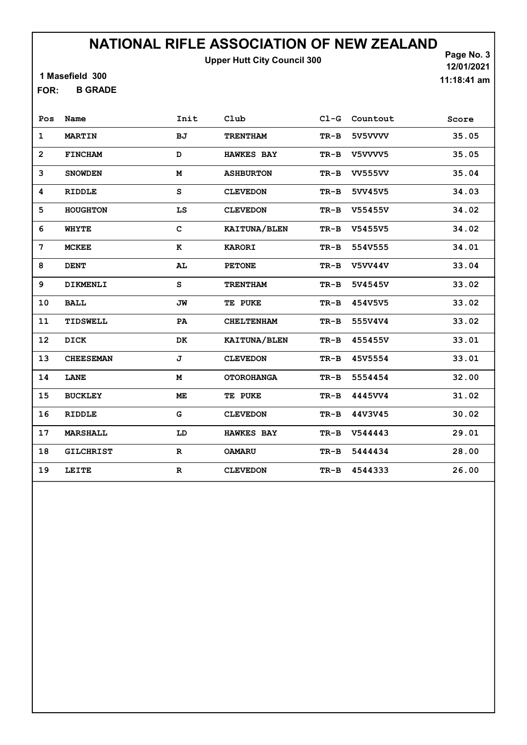Upper Hutt City Council 300

1 Masefield 300

B GRADE FOR:

Page No. 3 12/01/2021 11:18:41 am

| Pos               | Name             | Init        | Club              | $CL-G$ | Countout       | Score |
|-------------------|------------------|-------------|-------------------|--------|----------------|-------|
| $\mathbf 1$       | <b>MARTIN</b>    | <b>BJ</b>   | <b>TRENTHAM</b>   | $TR-B$ | 5V5VVVV        | 35.05 |
| $\overline{2}$    | <b>FINCHAM</b>   | D           | <b>HAWKES BAY</b> | $TR-B$ | V5VVVV5        | 35.05 |
| 3                 | <b>SNOWDEN</b>   | м           | <b>ASHBURTON</b>  | $TR-B$ | <b>VV555VV</b> | 35.04 |
| 4                 | RIDDLE           | S           | <b>CLEVEDON</b>   | $TR-B$ | 5VV45V5        | 34.03 |
| 5                 | <b>HOUGHTON</b>  | LS          | <b>CLEVEDON</b>   | $TR-B$ | V55455V        | 34.02 |
| 6                 | <b>WHYTE</b>     | $\mathbf C$ | KAITUNA/BLEN      | $TR-B$ | V5455V5        | 34.02 |
| 7                 | <b>MCKEE</b>     | к           | <b>KARORI</b>     | $TR-B$ | 554V555        | 34.01 |
| 8                 | <b>DENT</b>      | AL          | <b>PETONE</b>     | $TR-B$ | <b>V5VV44V</b> | 33.04 |
| 9                 | DIKMENLI         | s           | <b>TRENTHAM</b>   | $TR-B$ | 5V4545V        | 33.02 |
| 10                | <b>BALL</b>      | JW          | TE PUKE           | $TR-B$ | 454V5V5        | 33.02 |
| 11                | TIDSWELL         | PA          | <b>CHELTENHAM</b> | TR-B   | 555V4V4        | 33.02 |
| $12 \overline{ }$ | DICK             | <b>DK</b>   | KAITUNA/BLEN      | $TR-B$ | 455455V        | 33.01 |
| 13                | <b>CHEESEMAN</b> | J           | <b>CLEVEDON</b>   | $TR-B$ | 45V5554        | 33.01 |
| 14                | LANE             | M           | <b>OTOROHANGA</b> | $TR-B$ | 5554454        | 32.00 |
| 15                | <b>BUCKLEY</b>   | ME          | TE PUKE           | $TR-B$ | 4445VV4        | 31.02 |
| 16                | <b>RIDDLE</b>    | G           | <b>CLEVEDON</b>   | $TR-B$ | 44V3V45        | 30.02 |
| 17                | <b>MARSHALL</b>  | LD          | <b>HAWKES BAY</b> | $TR-B$ | V544443        | 29.01 |
| 18                | <b>GILCHRIST</b> | $\mathbf R$ | <b>OAMARU</b>     | TR-B   | 5444434        | 28.00 |
| 19                | LEITE            | $\mathbf R$ | <b>CLEVEDON</b>   | $TR-B$ | 4544333        | 26.00 |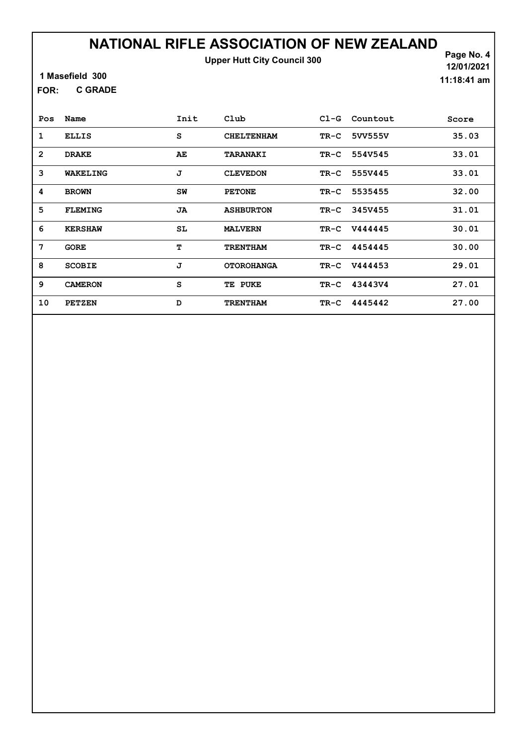Upper Hutt City Council 300

Page No. 4 12/01/2021 11:18:41 am

1 Masefield 300

C GRADE FOR:

| Pos          | Name           | Init | Club              | $C1-G$ | Countout     | Score |
|--------------|----------------|------|-------------------|--------|--------------|-------|
| 1            | <b>ELLIS</b>   | S    | <b>CHELTENHAM</b> | $TR-C$ | 5VV555V      | 35.03 |
| $\mathbf{2}$ | <b>DRAKE</b>   | AE   | TARANAKI          |        | TR-C 554V545 | 33.01 |
| 3            | WAKELING       | J    | <b>CLEVEDON</b>   | TR-C   | 555V445      | 33.01 |
| 4            | <b>BROWN</b>   | SW   | <b>PETONE</b>     | TR-C   | 5535455      | 32.00 |
| 5            | <b>FLEMING</b> | JA   | <b>ASHBURTON</b>  | TR-C   | 345V455      | 31.01 |
| 6            | <b>KERSHAW</b> | SL   | <b>MALVERN</b>    |        | TR-C V444445 | 30.01 |
| 7            | <b>GORE</b>    | т    | <b>TRENTHAM</b>   |        | TR-C 4454445 | 30.00 |
| 8            | <b>SCOBIE</b>  | J    | <b>OTOROHANGA</b> |        | TR-C V444453 | 29.01 |
| 9            | <b>CAMERON</b> | S    | TE PUKE           |        | TR-C 43443V4 | 27.01 |
| 10           | <b>PETZEN</b>  | D    | <b>TRENTHAM</b>   | TR-C   | 4445442      | 27.00 |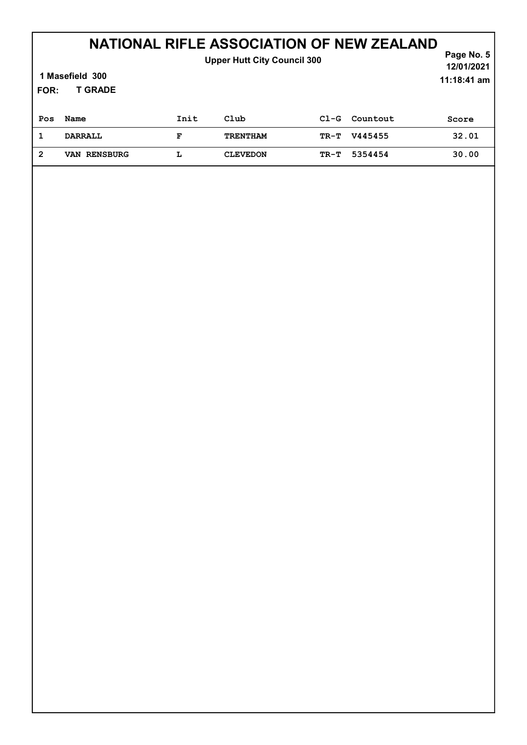| <b>Upper Hutt City Council 300</b><br>1 Masefield 300<br><b>T GRADE</b><br>FOR: |                     |      |                 |        |          | Page No. 5<br>12/01/2021<br>11:18:41 am |
|---------------------------------------------------------------------------------|---------------------|------|-----------------|--------|----------|-----------------------------------------|
| Pos                                                                             | Name                | Init | Club            | $C1-G$ | Countout | Score                                   |
| 1                                                                               | <b>DARRALL</b>      | F    | <b>TRENTHAM</b> | TR-T   | V445455  | 32.01                                   |
| $\overline{2}$                                                                  | <b>VAN RENSBURG</b> | L    | <b>CLEVEDON</b> | TR-T   | 5354454  | 30.00                                   |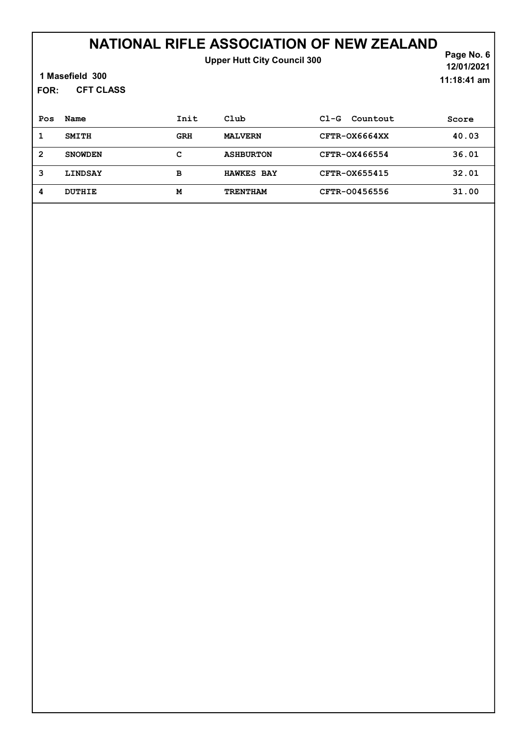#### NATIONAL RIFLE ASSOCIATION OF NEW ZEALAND Upper Hutt City Council 300

1 Masefield 300

CFT CLASS FOR:

Page No. 6 12/01/2021 11:18:41 am

| Pos | Name           | Init       | Club              | Countout<br>$C1-G$ | Score |
|-----|----------------|------------|-------------------|--------------------|-------|
|     | SMITH          | <b>GRH</b> | <b>MALVERN</b>    | CFTR-OX6664XX      | 40.03 |
| 2   | <b>SNOWDEN</b> | с          | <b>ASHBURTON</b>  | CFTR-0X466554      | 36.01 |
| 3   | <b>LINDSAY</b> | в          | <b>HAWKES BAY</b> | CFTR-0X655415      | 32.01 |
| 4   | <b>DUTHIE</b>  | M          | <b>TRENTHAM</b>   | CFTR-00456556      | 31.00 |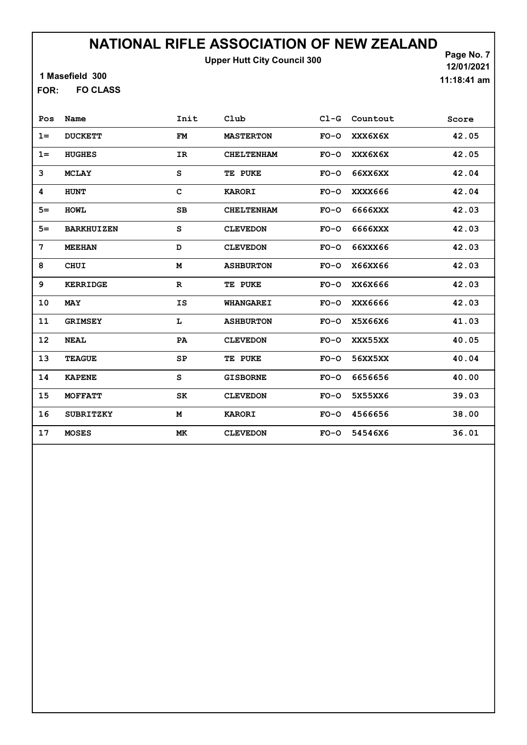Upper Hutt City Council 300

1 Masefield 300

FO CLASS FOR:

Page No. 7 12/01/2021 11:18:41 am

| Pos   | Name              | Init        | Club              | $C1-G$ | Countout | Score |
|-------|-------------------|-------------|-------------------|--------|----------|-------|
| $1 =$ | <b>DUCKETT</b>    | <b>FM</b>   | <b>MASTERTON</b>  | $FO-O$ | XXX6X6X  | 42.05 |
| $1 =$ | <b>HUGHES</b>     | IR          | <b>CHELTENHAM</b> | $FO-O$ | XXX6X6X  | 42.05 |
| 3     | <b>MCLAY</b>      | S           | TE PUKE           | $FO-O$ | 66XX6XX  | 42.04 |
| 4     | <b>HUNT</b>       | $\mathbf C$ | <b>KARORI</b>     | $FO-O$ | XXXX666  | 42.04 |
| $5=$  | <b>HOML</b>       | SB          | <b>CHELTENHAM</b> | $FO-O$ | 6666XXX  | 42.03 |
| $5=$  | <b>BARKHUIZEN</b> | S           | <b>CLEVEDON</b>   | $FO-O$ | 6666XXX  | 42.03 |
| 7     | <b>MEEHAN</b>     | D           | <b>CLEVEDON</b>   | $FO-O$ | 66XXX66  | 42.03 |
| 8     | CHUI              | М           | <b>ASHBURTON</b>  | $FO-O$ | X66XX66  | 42.03 |
| 9     | <b>KERRIDGE</b>   | $\mathbf R$ | TE PUKE           | $FO-O$ | XX6X666  | 42.03 |
| 10    | <b>MAY</b>        | IS          | <b>WHANGAREI</b>  | $FO-O$ | XXX6666  | 42.03 |
| 11    | <b>GRIMSEY</b>    | L           | <b>ASHBURTON</b>  | $FO-O$ | X5X66X6  | 41.03 |
| 12    | <b>NEAL</b>       | PA          | <b>CLEVEDON</b>   | $FO-O$ | XXX55XX  | 40.05 |
| 13    | <b>TEAGUE</b>     | SP          | TE PUKE           | $FO-O$ | 56XX5XX  | 40.04 |
| 14    | <b>KAPENE</b>     | S           | <b>GISBORNE</b>   | $FO-O$ | 6656656  | 40.00 |
| 15    | <b>MOFFATT</b>    | SK          | <b>CLEVEDON</b>   | $FO-O$ | 5X55XX6  | 39.03 |
| 16    | <b>SUBRITZKY</b>  | M           | <b>KARORI</b>     | $FO-O$ | 4566656  | 38.00 |
| 17    | <b>MOSES</b>      | МK          | <b>CLEVEDON</b>   | $FO-O$ | 54546X6  | 36.01 |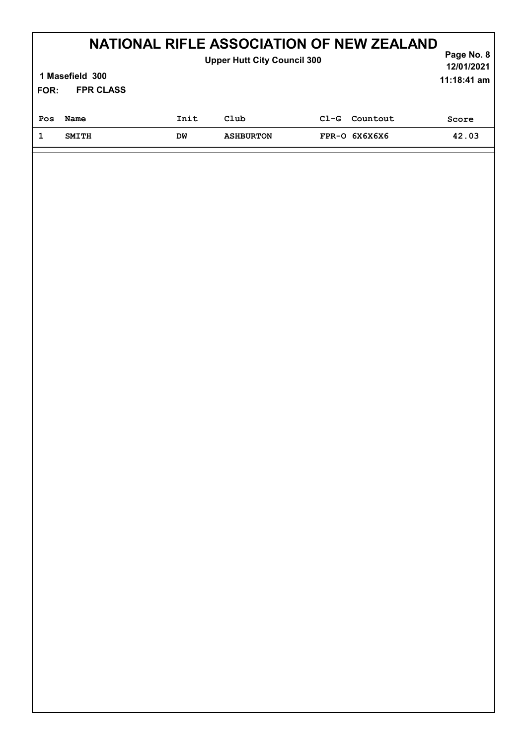|                                                              | NATIONAL RIFLE ASSOCIATION OF NEW ZEALAND<br><b>Upper Hutt City Council 300</b> |      |                  |        |               |       |  |
|--------------------------------------------------------------|---------------------------------------------------------------------------------|------|------------------|--------|---------------|-------|--|
| 1 Masefield 300<br>$11:18:41$ am<br><b>FPR CLASS</b><br>FOR: |                                                                                 |      |                  |        |               |       |  |
| Pos                                                          | Name                                                                            | Init | Club             | $C1-G$ | Countout      | Score |  |
|                                                              | <b>SMITH</b>                                                                    | DW   | <b>ASHBURTON</b> |        | FPR-O 6X6X6X6 | 42.03 |  |
|                                                              |                                                                                 |      |                  |        |               |       |  |